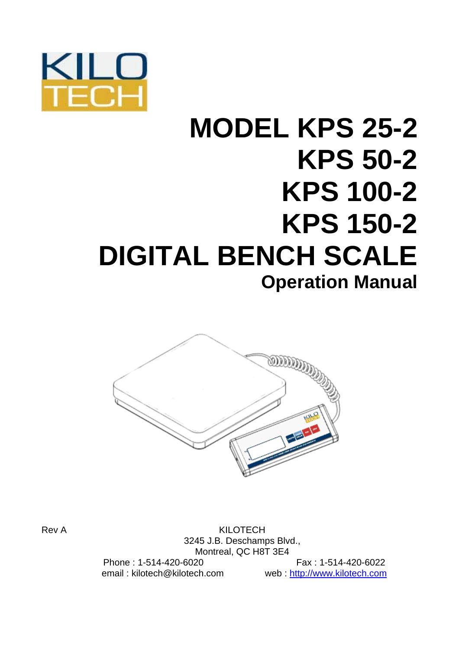

# **MODEL KPS 25-2 KPS 50-2 KPS 100-2 KPS 150-2 DIGITAL BENCH SCALE Operation Manual**



Rev A KILOTECH 3245 J.B. Deschamps Blvd., Montreal, QC H8T 3E4 Phone : 1-514-420-6020 Fax : 1-514-420-6022 email : kilotech@kilotech.com web : http://www.kilotech.com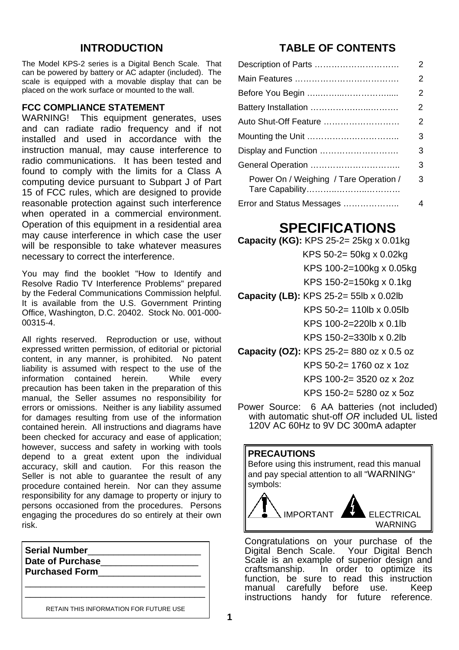## **INTRODUCTION**

The Model KPS-2 series is a Digital Bench Scale. That can be powered by battery or AC adapter (included). The scale is equipped with a movable display that can be placed on the work surface or mounted to the wall.

#### **FCC COMPLIANCE STATEMENT**

WARNING! This equipment generates, uses and can radiate radio frequency and if not installed and used in accordance with the instruction manual, may cause interference to radio communications. It has been tested and found to comply with the limits for a Class A computing device pursuant to Subpart J of Part 15 of FCC rules, which are designed to provide reasonable protection against such interference when operated in a commercial environment. Operation of this equipment in a residential area may cause interference in which case the user will be responsible to take whatever measures necessary to correct the interference.

You may find the booklet "How to Identify and Resolve Radio TV Interference Problems" prepared by the Federal Communications Commission helpful. It is available from the U.S. Government Printing Office, Washington, D.C. 20402. Stock No. 001-000- 00315-4.

All rights reserved. Reproduction or use, without expressed written permission, of editorial or pictorial content, in any manner, is prohibited. No patent liability is assumed with respect to the use of the information contained herein. While every precaution has been taken in the preparation of this manual, the Seller assumes no responsibility for errors or omissions. Neither is any liability assumed for damages resulting from use of the information contained herein. All instructions and diagrams have been checked for accuracy and ease of application; however, success and safety in working with tools depend to a great extent upon the individual accuracy, skill and caution. For this reason the Seller is not able to guarantee the result of any procedure contained herein. Nor can they assume responsibility for any damage to property or injury to persons occasioned from the procedures. Persons engaging the procedures do so entirely at their own risk.

| <b>Serial Number</b><br>Date of Purchase<br><b>Purchased Form</b> |  |
|-------------------------------------------------------------------|--|
| RETAIN THIS INFORMATION FOR FUTURE USE                            |  |

## **TABLE OF CONTENTS**

|                                        | 2              |
|----------------------------------------|----------------|
|                                        | 2              |
|                                        | 2              |
|                                        | $\overline{2}$ |
| Auto Shut-Off Feature                  | 2              |
|                                        | 3              |
| Display and Function                   | 3              |
|                                        | 3              |
| Power On / Weighing / Tare Operation / | 3              |
| Error and Status Messages              | 4              |

# **SPECIFICATIONS**

**Capacity (KG):** KPS 25-2= 25kg x 0.01kg

KPS 50-2= 50kg x 0.02kg

- KPS 100-2=100kg x 0.05kg
- KPS 150-2=150kg x 0.1kg
- **Capacity (LB):** KPS 25-2= 55lb x 0.02lb KPS 50-2= 110lb x 0.05lb

KPS 100-2=220lb x 0.1lb

KPS 150-2=330lb x 0.2lb

**Capacity (OZ):** KPS 25-2= 880 oz x 0.5 oz

KPS 50-2= 1760 oz x 1oz

KPS 100-2= 3520 oz x 2oz

KPS 150-2= 5280 oz x 5oz

Power Source: 6 AA batteries (not included) with automatic shut-off *OR* included UL listed 120V AC 60Hz to 9V DC 300mA adapter

#### **PRECAUTIONS**

Before using this instrument, read this manual and pay special attention to all "WARNING" symbols:



Congratulations on your purchase of the Digital Bench Scale. Your Digital Bench Scale is an example of superior design and craftsmanship. In order to optimize its function, be sure to read this instruction manual carefully before use. Keep instructions handy for future reference.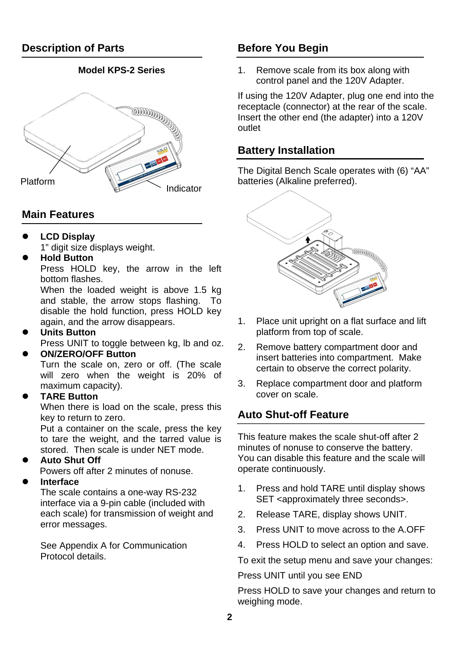## **Model KPS-2 Series**



# **Main Features**

**LCD Display** 

1" digit size displays weight.

## **Hold Button**

Press HOLD key, the arrow in the left bottom flashes.

When the loaded weight is above 1.5 kg and stable, the arrow stops flashing. To disable the hold function, press HOLD key again, and the arrow disappears.

### **Units Button**

Press UNIT to toggle between kg, lb and oz.

### z **ON/ZERO/OFF Button**

Turn the scale on, zero or off. (The scale will zero when the weight is 20% of maximum capacity).

## z **TARE Button**

When there is load on the scale, press this key to return to zero.

Put a container on the scale, press the key to tare the weight, and the tarred value is stored. Then scale is under NET mode.

## **Auto Shut Off**

Powers off after 2 minutes of nonuse.

### z **Interface**

The scale contains a one-way RS-232 interface via a 9-pin cable (included with each scale) for transmission of weight and error messages.

See Appendix A for Communication Protocol details.

# **Before You Begin**

1. Remove scale from its box along with control panel and the 120V Adapter.

If using the 120V Adapter, plug one end into the receptacle (connector) at the rear of the scale. Insert the other end (the adapter) into a 120V outlet

# **Battery Installation**

The Digital Bench Scale operates with (6) "AA" batteries (Alkaline preferred).



- 1. Place unit upright on a flat surface and lift platform from top of scale.
- 2. Remove battery compartment door and insert batteries into compartment. Make certain to observe the correct polarity.
- 3. Replace compartment door and platform cover on scale.

# **Auto Shut-off Feature**

This feature makes the scale shut-off after 2 minutes of nonuse to conserve the battery. You can disable this feature and the scale will operate continuously.

- 1. Press and hold TARE until display shows SET <approximately three seconds>.
- 2. Release TARE, display shows UNIT.
- 3. Press UNIT to move across to the A.OFF
- 4. Press HOLD to select an option and save.

To exit the setup menu and save your changes:

Press UNIT until you see END

Press HOLD to save your changes and return to weighing mode.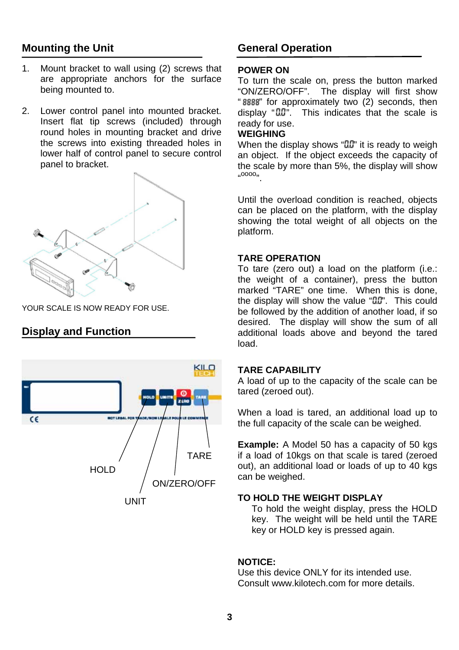# **Mounting the Unit**

- 1. Mount bracket to wall using (2) screws that are appropriate anchors for the surface being mounted to.
- 2. Lower control panel into mounted bracket. Insert flat tip screws (included) through round holes in mounting bracket and drive the screws into existing threaded holes in lower half of control panel to secure control panel to bracket.



YOUR SCALE IS NOW READY FOR USE.

# **Display and Function**



## **General Operation**

#### **POWER ON**

To turn the scale on, press the button marked<br>"ON/ZERO/OFF". The display will first show The display will first show "8888" for approximately two (2) seconds, then  $display "00"$ . This indicates that the scale is ready for use.

#### **WEIGHING**

When the display shows " $0.0$ " it is ready to weigh an object. If the object exceeds the capacity of the scale by more than 5%, the display will show  $^{10000}$ 

Until the overload condition is reached, objects can be placed on the platform, with the display showing the total weight of all objects on the platform.

#### **TARE OPERATION**

To tare (zero out) a load on the platform (i.e.: the weight of a container), press the button marked "TARE" one time. When this is done, the display will show the value " $0.0$ ". This could be followed by the addition of another load, if so desired. The display will show the sum of all additional loads above and beyond the tared load.

#### **TARE CAPABILITY**

A load of up to the capacity of the scale can be tared (zeroed out).

When a load is tared, an additional load up to the full capacity of the scale can be weighed.

**Example:** A Model 50 has a capacity of 50 kgs if a load of 10kgs on that scale is tared (zeroed out), an additional load or loads of up to 40 kgs can be weighed.

#### **TO HOLD THE WEIGHT DISPLAY**

To hold the weight display, press the HOLD key. The weight will be held until the TARE key or HOLD key is pressed again.

#### **NOTICE:**

Use this device ONLY for its intended use. Consult www.kilotech.com for more details.